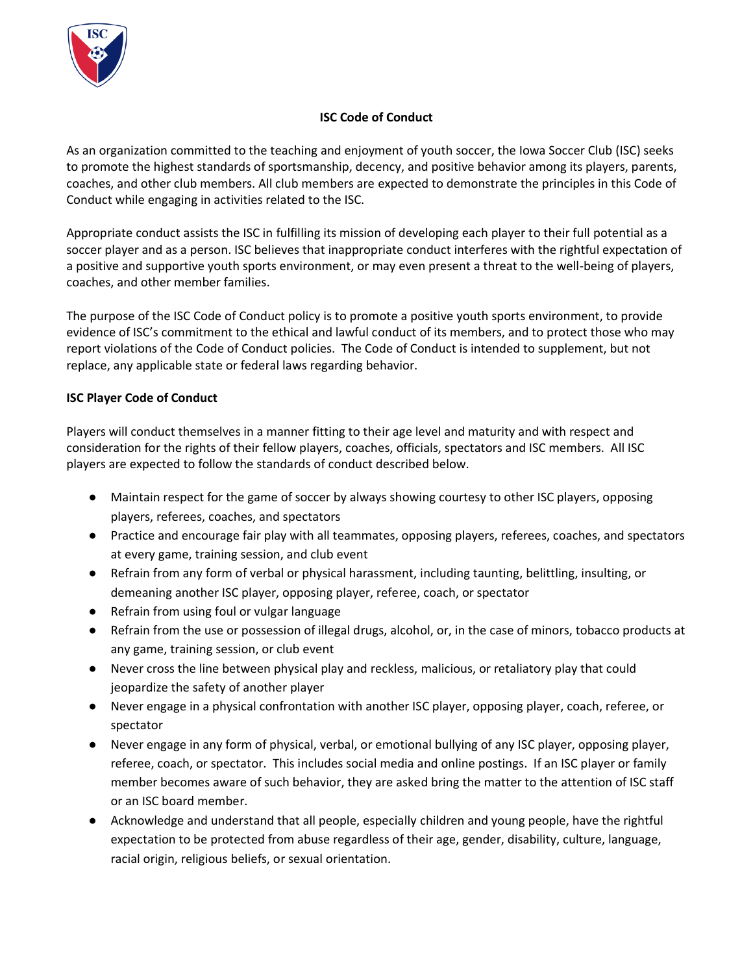

#### **ISC Code of Conduct**

As an organization committed to the teaching and enjoyment of youth soccer, the Iowa Soccer Club (ISC) seeks to promote the highest standards of sportsmanship, decency, and positive behavior among its players, parents, coaches, and other club members. All club members are expected to demonstrate the principles in this Code of Conduct while engaging in activities related to the ISC.

Appropriate conduct assists the ISC in fulfilling its mission of developing each player to their full potential as a soccer player and as a person. ISC believes that inappropriate conduct interferes with the rightful expectation of a positive and supportive youth sports environment, or may even present a threat to the well-being of players, coaches, and other member families.

The purpose of the ISC Code of Conduct policy is to promote a positive youth sports environment, to provide evidence of ISC's commitment to the ethical and lawful conduct of its members, and to protect those who may report violations of the Code of Conduct policies. The Code of Conduct is intended to supplement, but not replace, any applicable state or federal laws regarding behavior.

#### **ISC Player Code of Conduct**

Players will conduct themselves in a manner fitting to their age level and maturity and with respect and consideration for the rights of their fellow players, coaches, officials, spectators and ISC members. All ISC players are expected to follow the standards of conduct described below.

- Maintain respect for the game of soccer by always showing courtesy to other ISC players, opposing players, referees, coaches, and spectators
- Practice and encourage fair play with all teammates, opposing players, referees, coaches, and spectators at every game, training session, and club event
- Refrain from any form of verbal or physical harassment, including taunting, belittling, insulting, or demeaning another ISC player, opposing player, referee, coach, or spectator
- Refrain from using foul or vulgar language
- Refrain from the use or possession of illegal drugs, alcohol, or, in the case of minors, tobacco products at any game, training session, or club event
- Never cross the line between physical play and reckless, malicious, or retaliatory play that could jeopardize the safety of another player
- Never engage in a physical confrontation with another ISC player, opposing player, coach, referee, or spectator
- Never engage in any form of physical, verbal, or emotional bullying of any ISC player, opposing player, referee, coach, or spectator. This includes social media and online postings. If an ISC player or family member becomes aware of such behavior, they are asked bring the matter to the attention of ISC staff or an ISC board member.
- Acknowledge and understand that all people, especially children and young people, have the rightful expectation to be protected from abuse regardless of their age, gender, disability, culture, language, racial origin, religious beliefs, or sexual orientation.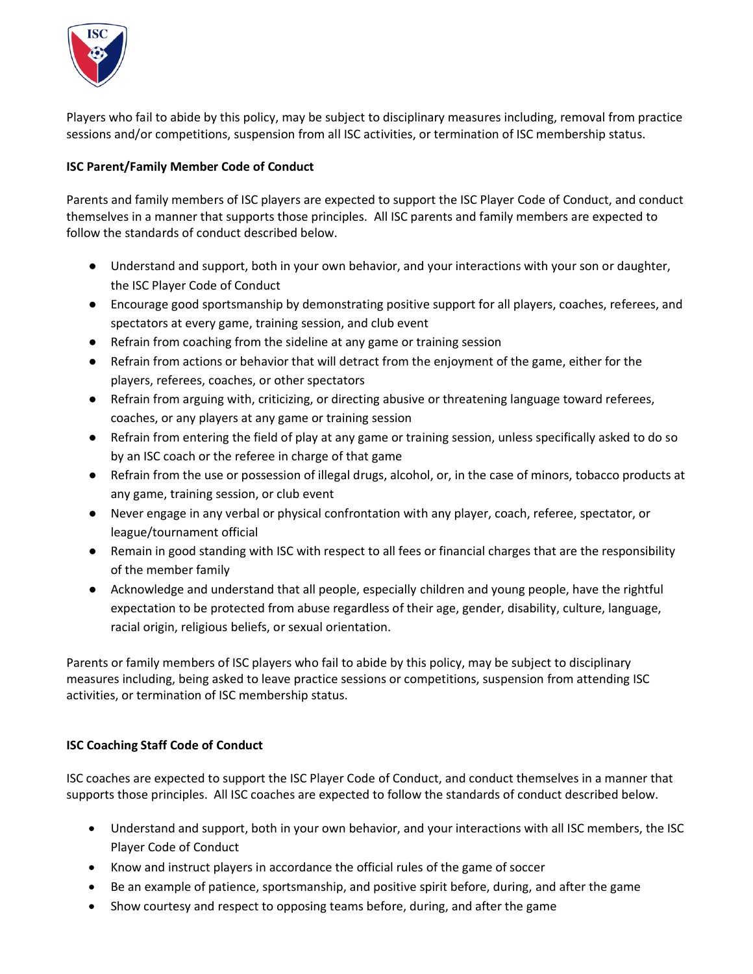

Players who fail to abide by this policy, may be subject to disciplinary measures including, removal from practice sessions and/or competitions, suspension from all ISC activities, or termination of ISC membership status.

## **ISC Parent/Family Member Code of Conduct**

Parents and family members of ISC players are expected to support the ISC Player Code of Conduct, and conduct themselves in a manner that supports those principles. All ISC parents and family members are expected to follow the standards of conduct described below.

- Understand and support, both in your own behavior, and your interactions with your son or daughter, the ISC Player Code of Conduct
- Encourage good sportsmanship by demonstrating positive support for all players, coaches, referees, and spectators at every game, training session, and club event
- Refrain from coaching from the sideline at any game or training session
- Refrain from actions or behavior that will detract from the enjoyment of the game, either for the players, referees, coaches, or other spectators
- Refrain from arguing with, criticizing, or directing abusive or threatening language toward referees, coaches, or any players at any game or training session
- Refrain from entering the field of play at any game or training session, unless specifically asked to do so by an ISC coach or the referee in charge of that game
- Refrain from the use or possession of illegal drugs, alcohol, or, in the case of minors, tobacco products at any game, training session, or club event
- Never engage in any verbal or physical confrontation with any player, coach, referee, spectator, or league/tournament official
- Remain in good standing with ISC with respect to all fees or financial charges that are the responsibility of the member family
- Acknowledge and understand that all people, especially children and young people, have the rightful expectation to be protected from abuse regardless of their age, gender, disability, culture, language, racial origin, religious beliefs, or sexual orientation.

Parents or family members of ISC players who fail to abide by this policy, may be subject to disciplinary measures including, being asked to leave practice sessions or competitions, suspension from attending ISC activities, or termination of ISC membership status.

## **ISC Coaching Staff Code of Conduct**

ISC coaches are expected to support the ISC Player Code of Conduct, and conduct themselves in a manner that supports those principles. All ISC coaches are expected to follow the standards of conduct described below.

- Understand and support, both in your own behavior, and your interactions with all ISC members, the ISC Player Code of Conduct
- Know and instruct players in accordance the official rules of the game of soccer
- Be an example of patience, sportsmanship, and positive spirit before, during, and after the game
- Show courtesy and respect to opposing teams before, during, and after the game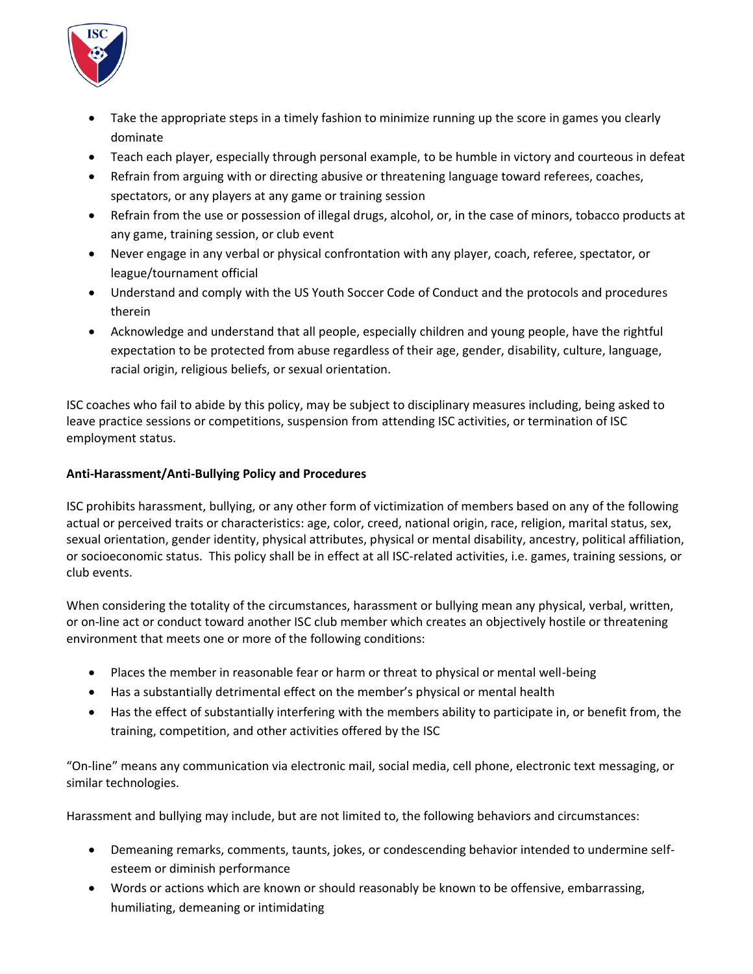

- Take the appropriate steps in a timely fashion to minimize running up the score in games you clearly dominate
- Teach each player, especially through personal example, to be humble in victory and courteous in defeat
- Refrain from arguing with or directing abusive or threatening language toward referees, coaches, spectators, or any players at any game or training session
- Refrain from the use or possession of illegal drugs, alcohol, or, in the case of minors, tobacco products at any game, training session, or club event
- Never engage in any verbal or physical confrontation with any player, coach, referee, spectator, or league/tournament official
- Understand and comply with the US Youth Soccer Code of Conduct and the protocols and procedures therein
- Acknowledge and understand that all people, especially children and young people, have the rightful expectation to be protected from abuse regardless of their age, gender, disability, culture, language, racial origin, religious beliefs, or sexual orientation.

ISC coaches who fail to abide by this policy, may be subject to disciplinary measures including, being asked to leave practice sessions or competitions, suspension from attending ISC activities, or termination of ISC employment status.

# **Anti-Harassment/Anti-Bullying Policy and Procedures**

ISC prohibits harassment, bullying, or any other form of victimization of members based on any of the following actual or perceived traits or characteristics: age, color, creed, national origin, race, religion, marital status, sex, sexual orientation, gender identity, physical attributes, physical or mental disability, ancestry, political affiliation, or socioeconomic status. This policy shall be in effect at all ISC-related activities, i.e. games, training sessions, or club events.

When considering the totality of the circumstances, harassment or bullying mean any physical, verbal, written, or on-line act or conduct toward another ISC club member which creates an objectively hostile or threatening environment that meets one or more of the following conditions:

- Places the member in reasonable fear or harm or threat to physical or mental well-being
- Has a substantially detrimental effect on the member's physical or mental health
- Has the effect of substantially interfering with the members ability to participate in, or benefit from, the training, competition, and other activities offered by the ISC

"On-line" means any communication via electronic mail, social media, cell phone, electronic text messaging, or similar technologies.

Harassment and bullying may include, but are not limited to, the following behaviors and circumstances:

- Demeaning remarks, comments, taunts, jokes, or condescending behavior intended to undermine selfesteem or diminish performance
- Words or actions which are known or should reasonably be known to be offensive, embarrassing, humiliating, demeaning or intimidating